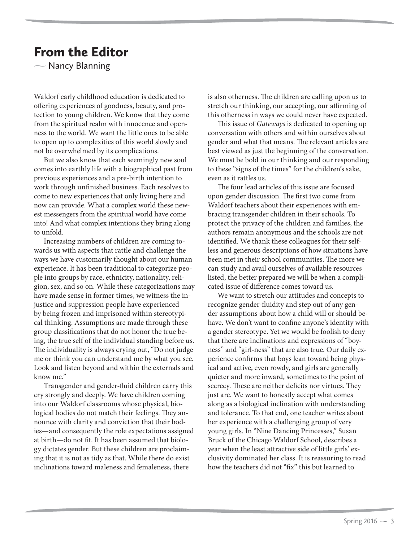## From the Editor

 $\overline{\phantom{0}}$ Nancy Blanning

Waldorf early childhood education is dedicated to offering experiences of goodness, beauty, and protection to young children. We know that they come from the spiritual realm with innocence and openness to the world. We want the little ones to be able to open up to complexities of this world slowly and not be overwhelmed by its complications.

But we also know that each seemingly new soul comes into earthly life with a biographical past from previous experiences and a pre-birth intention to work through unfinished business. Each resolves to come to new experiences that only living here and now can provide. What a complex world these newest messengers from the spiritual world have come into! And what complex intentions they bring along to unfold.

Increasing numbers of children are coming towards us with aspects that rattle and challenge the ways we have customarily thought about our human experience. It has been traditional to categorize people into groups by race, ethnicity, nationality, religion, sex, and so on. While these categorizations may have made sense in former times, we witness the injustice and suppression people have experienced by being frozen and imprisoned within stereotypical thinking. Assumptions are made through these group classifications that do not honor the true being, the true self of the individual standing before us. The individuality is always crying out, "Do not judge me or think you can understand me by what you see. Look and listen beyond and within the externals and know me."

Transgender and gender-fluid children carry this cry strongly and deeply. We have children coming into our Waldorf classrooms whose physical, biological bodies do not match their feelings. They announce with clarity and conviction that their bodies—and consequently the role expectations assigned at birth—do not fit. It has been assumed that biology dictates gender. But these children are proclaiming that it is not as tidy as that. While there do exist inclinations toward maleness and femaleness, there

is also otherness. The children are calling upon us to stretch our thinking, our accepting, our affirming of this otherness in ways we could never have expected.

This issue of Gateways is dedicated to opening up conversation with others and within ourselves about gender and what that means. The relevant articles are best viewed as just the beginning of the conversation. We must be bold in our thinking and our responding to these "signs of the times" for the children's sake, even as it rattles us.

The four lead articles of this issue are focused upon gender discussion. The first two come from Waldorf teachers about their experiences with embracing transgender children in their schools. To protect the privacy of the children and families, the authors remain anonymous and the schools are not identified. We thank these colleagues for their selfless and generous descriptions of how situations have been met in their school communities. The more we can study and avail ourselves of available resources listed, the better prepared we will be when a complicated issue of difference comes toward us.

We want to stretch our attitudes and concepts to recognize gender-fluidity and step out of any gender assumptions about how a child will or should behave. We don't want to confine anyone's identity with a gender stereotype. Yet we would be foolish to deny that there are inclinations and expressions of "boyness" and "girl-ness" that are also true. Our daily experience confirms that boys lean toward being physical and active, even rowdy, and girls are generally quieter and more inward, sometimes to the point of secrecy. These are neither deficits nor virtues. They just are. We want to honestly accept what comes along as a biological inclination with understanding and tolerance. To that end, one teacher writes about her experience with a challenging group of very young girls. In "Nine Dancing Princesses," Susan Bruck of the Chicago Waldorf School, describes a year when the least attractive side of little girls' exclusivity dominated her class. It is reassuring to read how the teachers did not "fix" this but learned to